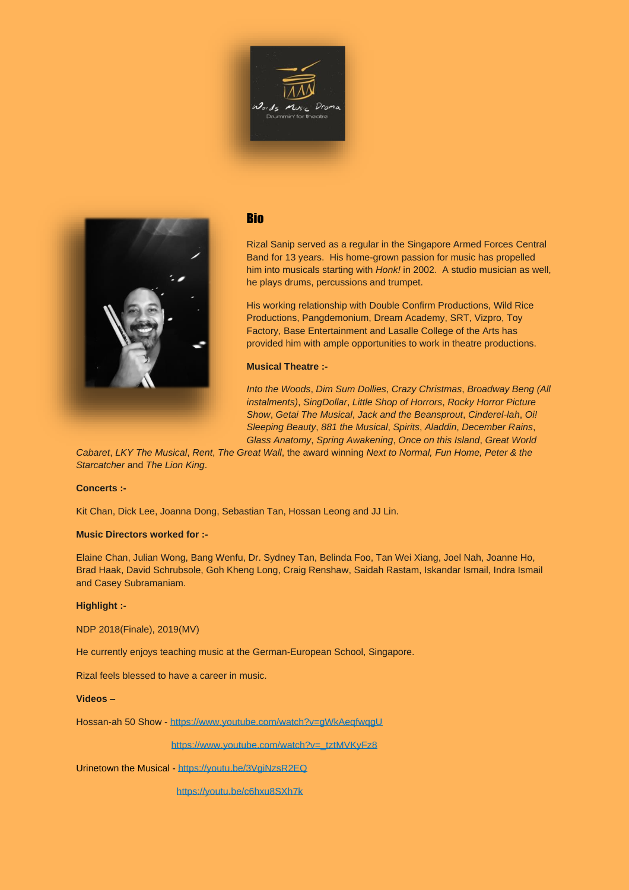



# **Bio**

Rizal Sanip served as a regular in the Singapore Armed Forces Central Band for 13 years. His home-grown passion for music has propelled him into musicals starting with *Honk!* in 2002. A studio musician as well, he plays drums, percussions and trumpet.

His working relationship with Double Confirm Productions, Wild Rice Productions, Pangdemonium, Dream Academy, SRT, Vizpro, Toy Factory, Base Entertainment and Lasalle College of the Arts has provided him with ample opportunities to work in theatre productions.

## **Musical Theatre :-**

*Into the Woods*, *Dim Sum Dollies*, *Crazy Christmas*, *Broadway Beng (All instalments)*, *SingDollar*, *Little Shop of Horrors*, *Rocky Horror Picture Show*, *Getai The Musical*, *Jack and the Beansprout*, *Cinderel-lah*, *Oi! Sleeping Beauty*, *881 the Musical*, *Spirits*, *Aladdin*, *December Rains*, *Glass Anatomy*, *Spring Awakening*, *Once on this Island*, *Great World* 

*Cabaret*, *LKY The Musical*, *Rent*, *The Great Wall*, the award winning *Next to Normal, Fun Home, Peter & the Starcatcher* and *The Lion King*.

### **Concerts :-**

Kit Chan, Dick Lee, Joanna Dong, Sebastian Tan, Hossan Leong and JJ Lin.

### **Music Directors worked for :-**

Elaine Chan, Julian Wong, Bang Wenfu, Dr. Sydney Tan, Belinda Foo, Tan Wei Xiang, Joel Nah, Joanne Ho, Brad Haak, David Schrubsole, Goh Kheng Long, Craig Renshaw, Saidah Rastam, Iskandar Ismail, Indra Ismail and Casey Subramaniam.

### **Highlight :-**

NDP 2018(Finale), 2019(MV)

He currently enjoys teaching music at the German-European School, Singapore.

Rizal feels blessed to have a career in music.

### **Videos –**

Hossan-ah 50 Show - <https://www.youtube.com/watch?v=gWkAeqfwqgU>

[https://www.youtube.com/watch?v=\\_tztMVKyFz8](https://www.youtube.com/watch?v=_tztMVKyFz8)

Urinetown the Musical - <https://youtu.be/3VgiNzsR2EQ>

<https://youtu.be/c6hxu8SXh7k>